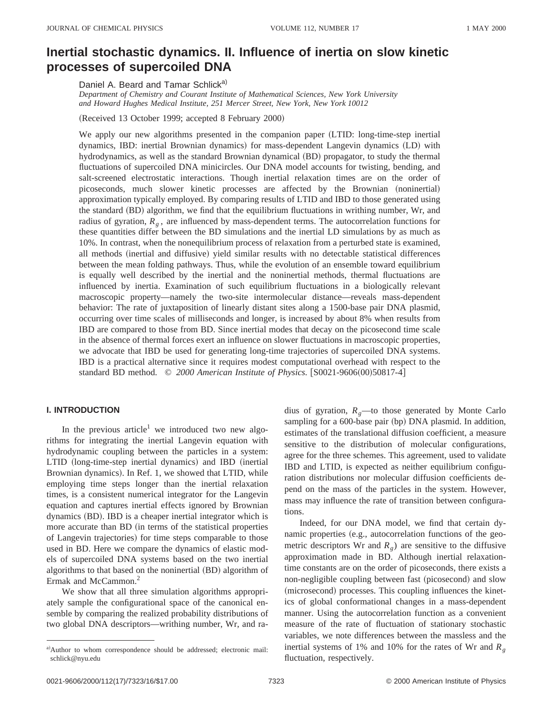# **Inertial stochastic dynamics. II. Influence of inertia on slow kinetic processes of supercoiled DNA**

Daniel A. Beard and Tamar Schlick<sup>a)</sup>

*Department of Chemistry and Courant Institute of Mathematical Sciences, New York University and Howard Hughes Medical Institute, 251 Mercer Street, New York, New York 10012*

(Received 13 October 1999; accepted 8 February 2000)

We apply our new algorithms presented in the companion paper (LTID: long-time-step inertial dynamics, IBD: inertial Brownian dynamics) for mass-dependent Langevin dynamics (LD) with hydrodynamics, as well as the standard Brownian dynamical (BD) propagator, to study the thermal fluctuations of supercoiled DNA minicircles. Our DNA model accounts for twisting, bending, and salt-screened electrostatic interactions. Though inertial relaxation times are on the order of picoseconds, much slower kinetic processes are affected by the Brownian (noninertial) approximation typically employed. By comparing results of LTID and IBD to those generated using the standard (BD) algorithm, we find that the equilibrium fluctuations in writhing number, Wr, and radius of gyration,  $R<sub>g</sub>$ , are influenced by mass-dependent terms. The autocorrelation functions for these quantities differ between the BD simulations and the inertial LD simulations by as much as 10%. In contrast, when the nonequilibrium process of relaxation from a perturbed state is examined, all methods (inertial and diffusive) yield similar results with no detectable statistical differences between the mean folding pathways. Thus, while the evolution of an ensemble toward equilibrium is equally well described by the inertial and the noninertial methods, thermal fluctuations are influenced by inertia. Examination of such equilibrium fluctuations in a biologically relevant macroscopic property—namely the two-site intermolecular distance—reveals mass-dependent behavior: The rate of juxtaposition of linearly distant sites along a 1500-base pair DNA plasmid, occurring over time scales of milliseconds and longer, is increased by about 8% when results from IBD are compared to those from BD. Since inertial modes that decay on the picosecond time scale in the absence of thermal forces exert an influence on slower fluctuations in macroscopic properties, we advocate that IBD be used for generating long-time trajectories of supercoiled DNA systems. IBD is a practical alternative since it requires modest computational overhead with respect to the standard BD method.  $\degree$  2000 American Institute of Physics. [S0021-9606(00)50817-4]

# **I. INTRODUCTION**

In the previous article<sup>1</sup> we introduced two new algorithms for integrating the inertial Langevin equation with hydrodynamic coupling between the particles in a system: LTID (long-time-step inertial dynamics) and IBD (inertial Brownian dynamics). In Ref. 1, we showed that LTID, while employing time steps longer than the inertial relaxation times, is a consistent numerical integrator for the Langevin equation and captures inertial effects ignored by Brownian dynamics (BD). IBD is a cheaper inertial integrator which is more accurate than BD (in terms of the statistical properties of Langevin trajectories) for time steps comparable to those used in BD. Here we compare the dynamics of elastic models of supercoiled DNA systems based on the two inertial algorithms to that based on the noninertial (BD) algorithm of Ermak and McCammon.<sup>2</sup>

We show that all three simulation algorithms appropriately sample the configurational space of the canonical ensemble by comparing the realized probability distributions of two global DNA descriptors—writhing number, Wr, and radius of gyration,  $R_{g}$ —to those generated by Monte Carlo sampling for a 600-base pair (bp) DNA plasmid. In addition, estimates of the translational diffusion coefficient, a measure sensitive to the distribution of molecular configurations, agree for the three schemes. This agreement, used to validate IBD and LTID, is expected as neither equilibrium configuration distributions nor molecular diffusion coefficients depend on the mass of the particles in the system. However, mass may influence the rate of transition between configurations.

Indeed, for our DNA model, we find that certain dynamic properties (e.g., autocorrelation functions of the geometric descriptors Wr and  $R<sub>g</sub>$ ) are sensitive to the diffusive approximation made in BD. Although inertial relaxationtime constants are on the order of picoseconds, there exists a non-negligible coupling between fast (picosecond) and slow (microsecond) processes. This coupling influences the kinetics of global conformational changes in a mass-dependent manner. Using the autocorrelation function as a convenient measure of the rate of fluctuation of stationary stochastic variables, we note differences between the massless and the inertial systems of 1% and 10% for the rates of Wr and  $R_g$ fluctuation, respectively.

a)Author to whom correspondence should be addressed; electronic mail: schlick@nyu.edu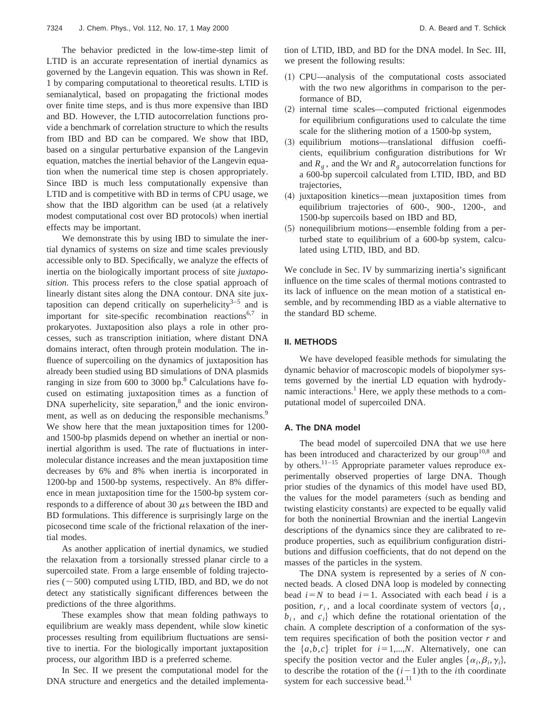The behavior predicted in the low-time-step limit of LTID is an accurate representation of inertial dynamics as governed by the Langevin equation. This was shown in Ref. 1 by comparing computational to theoretical results. LTID is semianalytical, based on propagating the frictional modes over finite time steps, and is thus more expensive than IBD and BD. However, the LTID autocorrelation functions provide a benchmark of correlation structure to which the results from IBD and BD can be compared. We show that IBD, based on a singular perturbative expansion of the Langevin equation, matches the inertial behavior of the Langevin equation when the numerical time step is chosen appropriately. Since IBD is much less computationally expensive than LTID and is competitive with BD in terms of CPU usage, we show that the IBD algorithm can be used (at a relatively modest computational cost over BD protocols) when inertial effects may be important.

We demonstrate this by using IBD to simulate the inertial dynamics of systems on size and time scales previously accessible only to BD. Specifically, we analyze the effects of inertia on the biologically important process of site *juxtaposition*. This process refers to the close spatial approach of linearly distant sites along the DNA contour. DNA site juxtaposition can depend critically on superhelicity<sup>3–5</sup> and is important for site-specific recombination reactions<sup>6,7</sup> in prokaryotes. Juxtaposition also plays a role in other processes, such as transcription initiation, where distant DNA domains interact, often through protein modulation. The influence of supercoiling on the dynamics of juxtaposition has already been studied using BD simulations of DNA plasmids ranging in size from  $600$  to 3000 bp. $8$  Calculations have focused on estimating juxtaposition times as a function of DNA superhelicity, site separation, $\delta$  and the ionic environment, as well as on deducing the responsible mechanisms.<sup>9</sup> We show here that the mean juxtaposition times for 1200 and 1500-bp plasmids depend on whether an inertial or noninertial algorithm is used. The rate of fluctuations in intermolecular distance increases and the mean juxtaposition time decreases by 6% and 8% when inertia is incorporated in 1200-bp and 1500-bp systems, respectively. An 8% difference in mean juxtaposition time for the 1500-bp system corresponds to a difference of about 30  $\mu$ s between the IBD and BD formulations. This difference is surprisingly large on the picosecond time scale of the frictional relaxation of the inertial modes.

As another application of inertial dynamics, we studied the relaxation from a torsionally stressed planar circle to a supercoiled state. From a large ensemble of folding trajectories ( $\sim$  500) computed using LTID, IBD, and BD, we do not detect any statistically significant differences between the predictions of the three algorithms.

These examples show that mean folding pathways to equilibrium are weakly mass dependent, while slow kinetic processes resulting from equilibrium fluctuations are sensitive to inertia. For the biologically important juxtaposition process, our algorithm IBD is a preferred scheme.

In Sec. II we present the computational model for the DNA structure and energetics and the detailed implementation of LTID, IBD, and BD for the DNA model. In Sec. III, we present the following results:

- ~1! CPU—analysis of the computational costs associated with the two new algorithms in comparison to the performance of BD,
- (2) internal time scales—computed frictional eigenmodes for equilibrium configurations used to calculate the time scale for the slithering motion of a 1500-bp system,
- $(3)$  equilibrium motions—translational diffusion coefficients, equilibrium configuration distributions for Wr and  $R_g$ , and the Wr and  $R_g$  autocorrelation functions for a 600-bp supercoil calculated from LTID, IBD, and BD trajectories,
- ~4! juxtaposition kinetics—mean juxtaposition times from equilibrium trajectories of 600-, 900-, 1200-, and 1500-bp supercoils based on IBD and BD,
- ~5! nonequilibrium motions—ensemble folding from a perturbed state to equilibrium of a 600-bp system, calculated using LTID, IBD, and BD.

We conclude in Sec. IV by summarizing inertia's significant influence on the time scales of thermal motions contrasted to its lack of influence on the mean motion of a statistical ensemble, and by recommending IBD as a viable alternative to the standard BD scheme.

# **II. METHODS**

We have developed feasible methods for simulating the dynamic behavior of macroscopic models of biopolymer systems governed by the inertial LD equation with hydrodynamic interactions.<sup>1</sup> Here, we apply these methods to a computational model of supercoiled DNA.

## **A. The DNA model**

The bead model of supercoiled DNA that we use here has been introduced and characterized by our group<sup>10,8</sup> and by others.<sup>11–15</sup> Appropriate parameter values reproduce experimentally observed properties of large DNA. Though prior studies of the dynamics of this model have used BD, the values for the model parameters (such as bending and twisting elasticity constants) are expected to be equally valid for both the noninertial Brownian and the inertial Langevin descriptions of the dynamics since they are calibrated to reproduce properties, such as equilibrium configuration distributions and diffusion coefficients, that do not depend on the masses of the particles in the system.

The DNA system is represented by a series of *N* connected beads. A closed DNA loop is modeled by connecting bead  $i=N$  to bead  $i=1$ . Associated with each bead *i* is a position,  $r_i$ , and a local coordinate system of vectors  $\{a_i\}$ ,  $b_i$ , and  $c_i$  which define the rotational orientation of the chain. A complete description of a conformation of the system requires specification of both the position vector *r* and the  $\{a,b,c\}$  triplet for  $i=1,...,N$ . Alternatively, one can specify the position vector and the Euler angles  $\{\alpha_i,\beta_i,\gamma_i\}$ , to describe the rotation of the  $(i-1)$ th to the *i*th coordinate system for each successive bead.<sup>11</sup>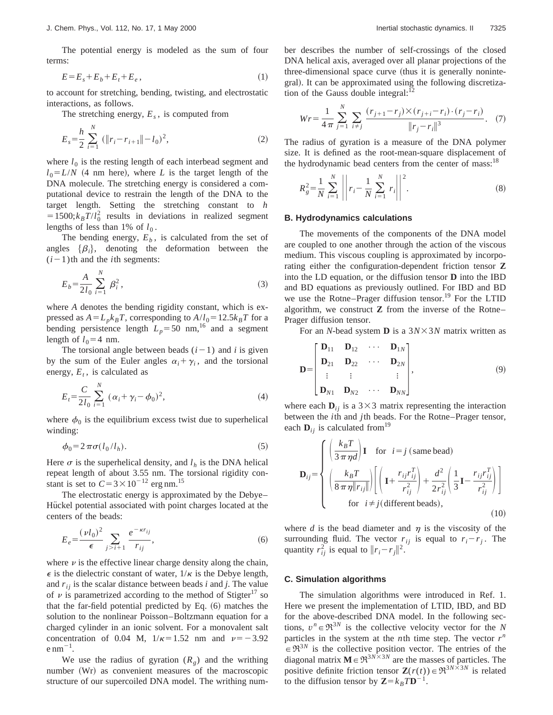The potential energy is modeled as the sum of four terms:

$$
E = E_s + E_b + E_t + E_e, \qquad (1)
$$

to account for stretching, bending, twisting, and electrostatic interactions, as follows.

The stretching energy,  $E_s$ , is computed from

$$
E_s = \frac{h}{2} \sum_{i=1}^{N} (||r_i - r_{i+1}|| - l_0)^2,
$$
 (2)

where  $l_0$  is the resting length of each interbead segment and  $l_0 = L/N$  (4 nm here), where *L* is the target length of the DNA molecule. The stretching energy is considered a computational device to restrain the length of the DNA to the target length. Setting the stretching constant to *h*  $=1500; k_B T/l_0^2$  results in deviations in realized segment lengths of less than 1% of  $l_0$ .

The bending energy,  $E_b$ , is calculated from the set of angles  $\{\beta_i\}$ , denoting the deformation between the  $(i-1)$ th and the *i*th segments:

$$
E_b = \frac{A}{2I_0} \sum_{i=1}^{N} \beta_i^2,
$$
\n(3)

where *A* denotes the bending rigidity constant, which is expressed as  $A = L_p k_B T$ , corresponding to  $A/l_0 = 12.5 k_B T$  for a bending persistence length  $L_p = 50$  nm,<sup>16</sup> and a segment length of  $l_0$ =4 nm.

The torsional angle between beads  $(i-1)$  and *i* is given by the sum of the Euler angles  $\alpha_i + \gamma_i$ , and the torsional energy,  $E_t$ , is calculated as

$$
E_{t} = \frac{C}{2I_{0}} \sum_{i=1}^{N} (\alpha_{i} + \gamma_{i} - \phi_{0})^{2},
$$
\n(4)

where  $\phi_0$  is the equilibrium excess twist due to superhelical winding:

$$
\phi_0 = 2\pi\sigma (l_0/l_h). \tag{5}
$$

Here  $\sigma$  is the superhelical density, and  $l_h$  is the DNA helical repeat length of about 3.55 nm. The torsional rigidity constant is set to  $C = 3 \times 10^{-12}$  erg nm.<sup>15</sup>

The electrostatic energy is approximated by the Debye– Hückel potential associated with point charges located at the centers of the beads:

$$
E_e = \frac{\left(v l_0\right)^2}{\epsilon} \sum_{j > i+1} \frac{e^{-\kappa r_{ij}}}{r_{ij}},\tag{6}
$$

where  $\nu$  is the effective linear charge density along the chain,  $\epsilon$  is the dielectric constant of water,  $1/\kappa$  is the Debye length, and  $r_{ij}$  is the scalar distance between beads *i* and *j*. The value of  $\nu$  is parametrized according to the method of Stigter<sup>17</sup> so that the far-field potential predicted by Eq.  $(6)$  matches the solution to the nonlinear Poisson–Boltzmann equation for a charged cylinder in an ionic solvent. For a monovalent salt concentration of 0.04 M,  $1/\kappa=1.52$  nm and  $\nu=-3.92$  $e$  nm<sup> $-1$ </sup>.

We use the radius of gyration  $(R_g)$  and the writhing number  $(Wr)$  as convenient measures of the macroscopic structure of our supercoiled DNA model. The writhing number describes the number of self-crossings of the closed DNA helical axis, averaged over all planar projections of the three-dimensional space curve (thus it is generally nonintegral). It can be approximated using the following discretization of the Gauss double integral: $^{12}$ 

$$
Wr = \frac{1}{4\pi} \sum_{j=1}^{N} \sum_{i \neq j} \frac{(r_{j+1} - r_j) \times (r_{j+i} - r_i) \cdot (r_j - r_i)}{\|r_j - r_i\|^3}.
$$
 (7)

The radius of gyration is a measure of the DNA polymer size. It is defined as the root-mean-square displacement of the hydrodynamic bead centers from the center of mass:<sup>18</sup>

$$
R_g^2 = \frac{1}{N} \sum_{i=1}^N \left| \left| r_i - \frac{1}{N} \sum_{i=1}^N r_i \right| \right|^2.
$$
 (8)

#### **B. Hydrodynamics calculations**

The movements of the components of the DNA model are coupled to one another through the action of the viscous medium. This viscous coupling is approximated by incorporating either the configuration-dependent friction tensor **Z** into the LD equation, or the diffusion tensor **D** into the IBD and BD equations as previously outlined. For IBD and BD we use the Rotne–Prager diffusion tensor.<sup>19</sup> For the LTID algorithm, we construct **Z** from the inverse of the Rotne– Prager diffusion tensor.

For an *N*-bead system **D** is a  $3N \times 3N$  matrix written as

$$
\mathbf{D} = \begin{bmatrix} \mathbf{D}_{11} & \mathbf{D}_{12} & \cdots & \mathbf{D}_{1N} \\ \mathbf{D}_{21} & \mathbf{D}_{22} & \cdots & \mathbf{D}_{2N} \\ \vdots & \vdots & & \vdots \\ \mathbf{D}_{N1} & \mathbf{D}_{N2} & \cdots & \mathbf{D}_{NN} \end{bmatrix},
$$
(9)

where each  $\mathbf{D}_{ij}$  is a 3×3 matrix representing the interaction between the *i*th and *j*th beads. For the Rotne–Prager tensor, each  $\mathbf{D}_{ij}$  is calculated from<sup>19</sup>

$$
\mathbf{D}_{ij} = \begin{cases} \left(\frac{k_B T}{3 \pi \eta d}\right) \mathbf{I} & \text{for } i = j \text{ (same bead)}\\ \left(\frac{k_B T}{8 \pi \eta ||r_{ij}||}\right) \left[ \left(\mathbf{I} + \frac{r_{ij} r_{ij}^T}{r_{ij}^2}\right) + \frac{d^2}{2r_{ij}^2} \left(\frac{1}{3} \mathbf{I} - \frac{r_{ij} r_{ij}^T}{r_{ij}^2}\right) \right] \\ & \text{for } i \neq j \text{ (different beads)}, \end{cases}
$$
(10)

where *d* is the bead diameter and  $\eta$  is the viscosity of the surrounding fluid. The vector  $r_{ij}$  is equal to  $r_i - r_j$ . The quantity  $r_{ij}^2$  is equal to  $||r_i-r_j||^2$ .

### **C. Simulation algorithms**

The simulation algorithms were introduced in Ref. 1. Here we present the implementation of LTID, IBD, and BD for the above-described DNA model. In the following sections,  $v^n \in \mathfrak{R}^{3N}$  is the collective velocity vector for the *N* particles in the system at the *n*th time step. The vector  $r^n$  $\in \mathfrak{R}^{3N}$  is the collective position vector. The entries of the diagonal matrix  $\mathbf{M} \in \mathbb{R}^{3N \times 3N}$  are the masses of particles. The positive definite friction tensor  $\mathbf{Z}(r(t)) \in \mathfrak{R}^{3N \times 3N}$  is related to the diffusion tensor by  $\mathbf{Z} = k_B T \mathbf{D}^{-1}$ .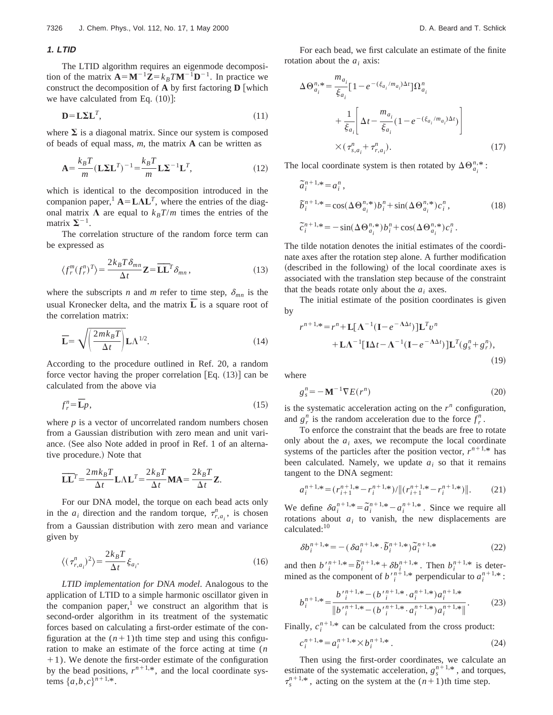## **1. LTID**

The LTID algorithm requires an eigenmode decomposition of the matrix  $\mathbf{A} = \mathbf{M}^{-1}\mathbf{Z} = k_B T \mathbf{M}^{-1}\mathbf{D}^{-1}$ . In practice we construct the decomposition of  $\bf{A}$  by first factoring  $\bf{D}$  [which we have calculated from Eq.  $(10)$ :

$$
\mathbf{D} = \mathbf{L} \Sigma \mathbf{L}^T,\tag{11}
$$

where  $\Sigma$  is a diagonal matrix. Since our system is composed of beads of equal mass, *m*, the matrix **A** can be written as

$$
\mathbf{A} = \frac{k_B T}{m} (\mathbf{L} \Sigma \mathbf{L}^T)^{-1} = \frac{k_B T}{m} \mathbf{L} \Sigma^{-1} \mathbf{L}^T,
$$
 (12)

which is identical to the decomposition introduced in the companion paper,<sup>1</sup>  $\mathbf{A} = \mathbf{L}\Lambda\mathbf{L}^T$ , where the entries of the diagonal matrix  $\Lambda$  are equal to  $k_B T/m$  times the entries of the matrix  $\Sigma^{-1}$ .

The correlation structure of the random force term can be expressed as

$$
\langle f_r^m (f_r^n)^T \rangle = \frac{2k_B T \delta_{mn}}{\Delta t} \mathbf{Z} = \mathbf{\bar{L}} \mathbf{\bar{L}}^T \delta_{mn}, \qquad (13)
$$

where the subscripts *n* and *m* refer to time step,  $\delta_{mn}$  is the usual Kronecker delta, and the matrix  $\overline{L}$  is a square root of the correlation matrix:

$$
\overline{\mathbf{L}} = \sqrt{\left(\frac{2mk_B T}{\Delta t}\right)} \mathbf{L} \Lambda^{1/2}.
$$
 (14)

According to the procedure outlined in Ref. 20, a random force vector having the proper correlation  $[Eq. (13)]$  can be calculated from the above via

$$
f_r^n = \mathbf{\bar{L}}p,\tag{15}
$$

where  $p$  is a vector of uncorrelated random numbers chosen from a Gaussian distribution with zero mean and unit variance. (See also Note added in proof in Ref. 1 of an alternative procedure.) Note that

$$
\overline{\mathbf{L}}\overline{\mathbf{L}}^T = \frac{2mk_BT}{\Delta t} \mathbf{L}\Lambda \mathbf{L}^T = \frac{2k_BT}{\Delta t} \mathbf{M}\mathbf{A} = \frac{2k_BT}{\Delta t} \mathbf{Z}.
$$

For our DNA model, the torque on each bead acts only in the  $a_i$  direction and the random torque,  $\tau^n_{r, a_i}$ , is chosen from a Gaussian distribution with zero mean and variance given by

$$
\langle (\tau_{r,a_i}^n)^2 \rangle = \frac{2k_B T}{\Delta t} \xi_{a_i}.
$$
 (16)

*LTID implementation for DNA model*. Analogous to the application of LTID to a simple harmonic oscillator given in the companion paper, $1$  we construct an algorithm that is second-order algorithm in its treatment of the systematic forces based on calculating a first-order estimate of the configuration at the  $(n+1)$ th time step and using this configuration to make an estimate of the force acting at time (*n*  $+1$ ). We denote the first-order estimate of the configuration by the bead positions,  $r^{n+1,*}$ , and the local coordinate sys- ${\tan s}$   ${a,b,c}$ <sup>n+1,\*</sup>.

For each bead, we first calculate an estimate of the finite rotation about the  $a_i$  axis:

$$
\Delta \Theta_{a_i}^{n,*} = \frac{m_{a_i}}{\xi_{a_i}} [1 - e^{-(\xi_{a_i}/m_{a_i})\Delta t}] \Omega_{a_i}^n + \frac{1}{\xi_{a_i}} \left[ \Delta t - \frac{m_{a_i}}{\xi_{a_i}} (1 - e^{-(\xi_{a_i}/m_{a_i})\Delta t}) \right] \times (\tau_{s,a_i}^n + \tau_{r,a_i}^n). \tag{17}
$$

The local coordinate system is then rotated by  $\Delta \Theta_{a_i}^{n,*}$ :

$$
\tilde{a}_{i}^{n+1,*} = a_{i}^{n},
$$
\n
$$
\tilde{b}_{i}^{n+1,*} = \cos(\Delta \Theta_{a_{i}}^{n,*}) b_{i}^{n} + \sin(\Delta \Theta_{a_{i}}^{n,*}) c_{i}^{n},
$$
\n
$$
\tilde{c}_{i}^{n+1,*} = -\sin(\Delta \Theta_{a_{i}}^{n,*}) b_{i}^{n} + \cos(\Delta \Theta_{a_{i}}^{n,*}) c_{i}^{n}.
$$
\n(18)

The tilde notation denotes the initial estimates of the coordinate axes after the rotation step alone. A further modification (described in the following) of the local coordinate axes is associated with the translation step because of the constraint that the beads rotate only about the  $a_i$  axes.

The initial estimate of the position coordinates is given by

$$
r^{n+1,*} = r^n + \mathbf{L}[\mathbf{\Lambda}^{-1}(\mathbf{I} - e^{-\mathbf{\Lambda}\Delta t})]\mathbf{L}^T v^n
$$
  
+ 
$$
\mathbf{L}\mathbf{\Lambda}^{-1}[\mathbf{I}\Delta t - \mathbf{\Lambda}^{-1}(\mathbf{I} - e^{-\mathbf{\Lambda}\Delta t})]\mathbf{L}^T(g_s^n + g_r^n),
$$
  
(19)

where

$$
g_s^n = -\mathbf{M}^{-1} \nabla E(r^n) \tag{20}
$$

is the systematic acceleration acting on the  $r^n$  configuration, and  $g_r^n$  is the random acceleration due to the force  $f_r^n$ .

To enforce the constraint that the beads are free to rotate only about the  $a_i$  axes, we recompute the local coordinate systems of the particles after the position vector,  $r^{n+1,*}$  has been calculated. Namely, we update  $a_i$  so that it remains tangent to the DNA segment:

$$
a_i^{n+1,*} = (r_{i+1}^{n+1,*} - r_i^{n+1,*}) / \|(r_{i+1}^{n+1,*} - r_i^{n+1,*})\|.
$$
 (21)

We define  $\delta a_i^{n+1,*} = \tilde{a}_i^{n+1,*} - a_i^{n+1,*}$ . Since we require all rotations about  $a_i$  to vanish, the new displacements are calculated: $10$ 

$$
\delta b_i^{n+1,*} = -(\delta a_i^{n+1,*} \cdot \tilde{b}_i^{n+1,*}) \tilde{a}_i^{n+1,*}
$$
 (22)

and then  $b^{n+1,*}_{i} = \tilde{b}^{n+1,*}_{i} + \delta b^{n+1,*}_{i}$ . Then  $b^{n+1,*}_{i}$  is determined as the component of  $b^{\prime}i^{+1,*}$  perpendicular to  $a_i^{n+1,*}$ :

$$
b_i^{n+1,*} = \frac{b_i^{n+1,*} - (b_i^{n+1,*} \cdot a_i^{n+1,*}) a_i^{n+1,*}}{\|b_i^{n+1,*} - (b_i^{n+1,*} \cdot a_i^{n+1,*}) a_i^{n+1,*}\|}.
$$
 (23)

Finally,  $c_i^{n+1,*}$  can be calculated from the cross product:

$$
c_i^{n+1,*} = a_i^{n+1,*} \times b_i^{n+1,*} \,. \tag{24}
$$

Then using the first-order coordinates, we calculate an estimate of the systematic acceleration,  $g_s^{n+1,*}$ , and torques,  $\tau_s^{n+1,*}$ , acting on the system at the  $(n+1)$ th time step.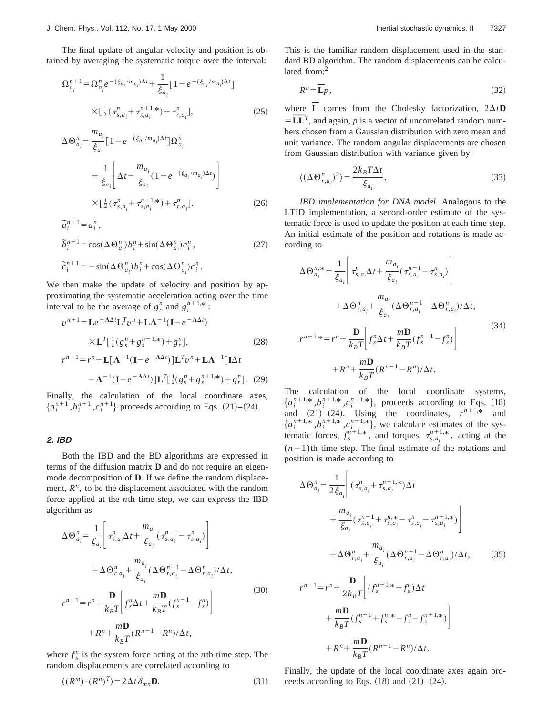The final update of angular velocity and position is obtained by averaging the systematic torque over the interval:

$$
\Omega_{a_i}^{n+1} = \Omega_{a_i}^n e^{-(\xi_{a_i}/m_{a_i})\Delta t} + \frac{1}{\xi_{a_i}} [1 - e^{-(\xi_{a_i}/m_{a_i})\Delta t}]
$$
  
 
$$
\times [\frac{1}{2} (\tau_{s,a_i}^n + \tau_{s,a_i}^{n+1,*}) + \tau_{r,a_i}^n],
$$
 (25)

$$
\Delta \Theta_{a_i}^n = \frac{m_{a_i}}{\xi_{a_i}} [1 - e^{-(\xi_{a_i}/m_{a_i})\Delta t}] \Omega_{a_i}^n + \frac{1}{\xi_{a_i}} \left[ \Delta t - \frac{m_{a_i}}{\xi_{a_i}} (1 - e^{-(\xi_{a_i}/m_{a_i})\Delta t}) \right]
$$

$$
\times [\frac{1}{2} (\tau_{s,a_i}^n + \tau_{s,a_i}^{n+1,*}) + \tau_{r,a_i}^n].
$$
 (26)

$$
\tilde{a}_i^{n+1} = a_i^n, \n\tilde{b}_i^{n+1} = \cos(\Delta \Theta_{a_i}^n) b_i^n + \sin(\Delta \Theta_{a_i}^n) c_i^n, \n\tilde{c}_i^{n+1} = -\sin(\Delta \Theta_{a_i}^n) b_i^n + \cos(\Delta \Theta_{a_i}^n) c_i^n.
$$
\n(27)

We then make the update of velocity and position by approximating the systematic acceleration on acting over the time interval to be the average of 
$$
g_r^n
$$
 and  $g_r^{n+1,*}$ :

$$
v^{n+1} = \mathbf{L}e^{-\mathbf{\Lambda}\Delta t}\mathbf{L}^T v^n + \mathbf{L}\mathbf{\Lambda}^{-1}(\mathbf{I} - e^{-\mathbf{\Lambda}\Delta t})
$$
  
 
$$
\times \mathbf{L}^T \left[\frac{1}{2}(g_s^n + g_s^{n+1,*}) + g_r^n\right], \tag{28}
$$
  

$$
r^{n+1} = r^n + \mathbf{L}[\mathbf{\Lambda}^{-1}(\mathbf{I} - e^{-\mathbf{\Lambda}\Delta t})]\mathbf{L}^T v^n + \mathbf{L}\mathbf{\Lambda}^{-1}[\mathbf{I}\Delta t]
$$

$$
-\Lambda^{-1}(\mathbf{I} - e^{-\Lambda \Delta t}) \mathbf{L}^T \left[ \frac{1}{2} (g_s^n + g_s^{n+1,*}) + g_r^n \right]. (29)
$$

Finally, the calculation of the local coordinate axes,  ${a_i^{n+1}, b_i^{n+1}, c_i^{n+1}}$  proceeds according to Eqs. (21)–(24).

#### **2. IBD**

Both the IBD and the BD algorithms are expressed in terms of the diffusion matrix **D** and do not require an eigenmode decomposition of **D**. If we define the random displacement,  $R<sup>n</sup>$ , to be the displacement associated with the random force applied at the *n*th time step, we can express the IBD algorithm as

$$
\Delta \Theta_{a_i}^n = \frac{1}{\xi_{a_i}} \left[ \tau_{s,a_i}^n \Delta t + \frac{m_{a_i}}{\xi_{a_i}} (\tau_{s,a_i}^{n-1} - \tau_{s,a_i}^n) \right]
$$
  
+ 
$$
\Delta \Theta_{r,a_i}^n + \frac{m_{a_i}}{\xi_{a_i}} (\Delta \Theta_{r,a_i}^{n-1} - \Delta \Theta_{r,a_i}^n) / \Delta t,
$$
  

$$
r^{n+1} = r^n + \frac{D}{k_B T} \left[ f_s^n \Delta t + \frac{mD}{k_B T} (f_s^{n-1} - f_s^n) \right]
$$
  
+ 
$$
R^n + \frac{mD}{k_B T} (R^{n-1} - R^n) / \Delta t,
$$
 (30)

where  $f_s^n$  is the system force acting at the *n*th time step. The random displacements are correlated according to

$$
\langle (R^m) \cdot (R^n)^T \rangle = 2 \Delta t \, \delta_{mn} \mathbf{D}.
$$
 (31)

This is the familiar random displacement used in the standard BD algorithm. The random displacements can be calculated from: $<sup>2</sup>$ </sup>

$$
R^n = \overline{\mathbf{L}}p,\tag{32}
$$

where  $\overline{\mathbf{L}}$  comes from the Cholesky factorization,  $2\Delta t \mathbf{D}$  $= \overline{\mathbf{L}} \mathbf{L}^T$ , and again, *p* is a vector of uncorrelated random numbers chosen from a Gaussian distribution with zero mean and unit variance. The random angular displacements are chosen from Gaussian distribution with variance given by

$$
\langle (\Delta \Theta_{r,a_i}^n)^2 \rangle = \frac{2k_B T \Delta t}{\xi_{a_i}}.\tag{33}
$$

*IBD implementation for DNA model*. Analogous to the LTID implementation, a second-order estimate of the systematic force is used to update the position at each time step. An initial estimate of the position and rotations is made according to

$$
\Delta \Theta_{a_i}^{n,*} = \frac{1}{\xi_{a_i}} \left[ \tau_{s,a_i}^n \Delta t + \frac{m_{a_i}}{\xi_{a_i}} (\tau_{s,a_i}^{n-1} - \tau_{s,a_i}^n) \right]
$$
  
+ 
$$
\Delta \Theta_{r,a_i}^n + \frac{m_{a_i}}{\xi_{a_i}} (\Delta \Theta_{r,a_i}^{n-1} - \Delta \Theta_{r,a_i}^n) / \Delta t,
$$
  

$$
r^{n+1,*} = r^n + \frac{D}{k_B T} \left[ f_s^n \Delta t + \frac{mD}{k_B T} (f_s^{n-1} - f_s^n) \right]
$$
  
+ 
$$
R^n + \frac{mD}{k_B T} (R^{n-1} - R^n) / \Delta t.
$$
 (34)

The calculation of the local coordinate systems,  ${a_i^{n+1,*}, b_i^{n+1,*}, c_i^{n+1,*}}$ , proceeds according to Eqs. (18) and  $(21)$ – $(24)$ . Using the coordinates,  $r^{n+1,*}$  and  ${a_i^{n+1,*}, b_i^{n+1,*}, c_i^{n+1,*}}$ , we calculate estimates of the systematic forces,  $f_s^{n+1,*}$ , and torques,  $\tau_{s,a_i}^{n+1,*}$ , acting at the  $(n+1)$ th time step. The final estimate of the rotations and position is made according to

$$
\Delta \Theta_{a_i}^n = \frac{1}{2 \xi_{a_i}} \left[ (\tau_{s,a_i}^n + \tau_{s,a_i}^{n+1,*}) \Delta t \n+ \frac{m_{a_i}}{\xi_{a_i}} (\tau_{s,a_i}^{n-1} + \tau_{s,a_i}^{n,*} - \tau_{s,a_i}^n - \tau_{s,a_i}^{n+1,*}) \right] \n+ \Delta \Theta_{r,a_i}^n + \frac{m_{a_i}}{\xi_{a_i}} (\Delta \Theta_{r,a_i}^{n-1} - \Delta \Theta_{r,a_i}^n) / \Delta t, \qquad (35)
$$
\n
$$
r^{n+1} = r^n + \frac{D}{2k_B T} \left[ (f_s^{n+1,*} + f_s^n) \Delta t \right]
$$

$$
+\frac{m\mathbf{D}}{k_BT}(f_s^{n-1}+f_s^{n,*}-f_s^n-f_s^{n+1,*})\bigg] +R^n+\frac{m\mathbf{D}}{k_BT}(R^{n-1}-R^n)/\Delta t.
$$

Finally, the update of the local coordinate axes again proceeds according to Eqs.  $(18)$  and  $(21)–(24)$ .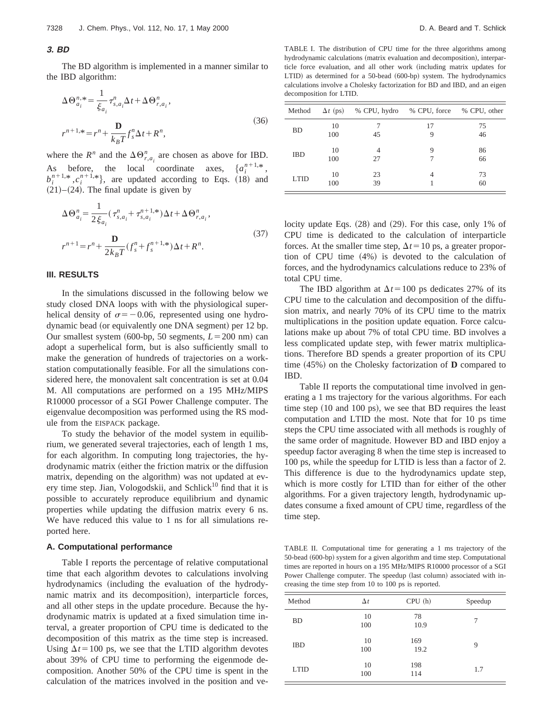#### **3. BD**

The BD algorithm is implemented in a manner similar to the IBD algorithm:

$$
\Delta \Theta_{a_i}^{n,*} = \frac{1}{\xi_{a_i}} \tau_{s,a_i}^n \Delta t + \Delta \Theta_{r,a_i}^n,
$$
  

$$
r^{n+1,*} = r^n + \frac{\mathbf{D}}{k_B T} f_s^n \Delta t + R^n,
$$
 (36)

where the  $R^n$  and the  $\Delta \Theta_{r,a_i}^n$  are chosen as above for IBD. As before, the local coordinate axes,  $\{a_i^{n+1,*}, \dots, a_n^{n+1,*}\}$  $b_i^{n+1,*}, c_i^{n+1,*}$ , are updated according to Eqs. (18) and  $(21)–(24)$ . The final update is given by

$$
\Delta \Theta_{a_i}^n = \frac{1}{2 \xi_{a_i}} (\tau_{s, a_i}^n + \tau_{s, a_i}^{n+1, *}) \Delta t + \Delta \Theta_{r, a_i}^n,
$$
  

$$
r^{n+1} = r^n + \frac{D}{2 k_B T} (f_s^n + f_s^{n+1, *}) \Delta t + R^n.
$$
 (37)

# **III. RESULTS**

In the simulations discussed in the following below we study closed DNA loops with with the physiological superhelical density of  $\sigma$ = -0.06, represented using one hydrodynamic bead (or equivalently one DNA segment) per 12 bp. Our smallest system  $(600$ -bp, 50 segments,  $L = 200$  nm) can adopt a superhelical form, but is also sufficiently small to make the generation of hundreds of trajectories on a workstation computationally feasible. For all the simulations considered here, the monovalent salt concentration is set at 0.04 M. All computations are performed on a 195 MHz/MIPS R10000 processor of a SGI Power Challenge computer. The eigenvalue decomposition was performed using the RS module from the EISPACK package.

To study the behavior of the model system in equilibrium, we generated several trajectories, each of length 1 ms, for each algorithm. In computing long trajectories, the hydrodynamic matrix (either the friction matrix or the diffusion matrix, depending on the algorithm) was not updated at every time step. Jian, Vologodskii, and Schlick $10$  find that it is possible to accurately reproduce equilibrium and dynamic properties while updating the diffusion matrix every 6 ns. We have reduced this value to 1 ns for all simulations reported here.

# **A. Computational performance**

Table I reports the percentage of relative computational time that each algorithm devotes to calculations involving hydrodynamics (including the evaluation of the hydrodynamic matrix and its decomposition), interparticle forces, and all other steps in the update procedure. Because the hydrodynamic matrix is updated at a fixed simulation time interval, a greater proportion of CPU time is dedicated to the decomposition of this matrix as the time step is increased. Using  $\Delta t$ =100 ps, we see that the LTID algorithm devotes about 39% of CPU time to performing the eigenmode decomposition. Another 50% of the CPU time is spent in the calculation of the matrices involved in the position and ve-

TABLE I. The distribution of CPU time for the three algorithms among hydrodynamic calculations (matrix evaluation and decomposition), interparticle force evaluation, and all other work (including matrix updates for LTID) as determined for a 50-bead  $(600-bp)$  system. The hydrodynamics calculations involve a Cholesky factorization for BD and IBD, and an eigen decomposition for LTID.

| Method     | $\Delta t$ (ps) | % CPU, hydro | % CPU, force | % CPU, other |
|------------|-----------------|--------------|--------------|--------------|
| <b>BD</b>  | 10<br>100       | 45           | 17<br>9      | 75<br>46     |
| <b>IBD</b> | 10<br>100       | 4<br>27      | 9            | 86<br>66     |
| LTID.      | 10<br>100       | 23<br>39     | 4            | 73<br>60     |

locity update Eqs.  $(28)$  and  $(29)$ . For this case, only 1% of CPU time is dedicated to the calculation of interparticle forces. At the smaller time step,  $\Delta t$ =10 ps, a greater proportion of CPU time  $(4%)$  is devoted to the calculation of forces, and the hydrodynamics calculations reduce to 23% of total CPU time.

The IBD algorithm at  $\Delta t$ =100 ps dedicates 27% of its CPU time to the calculation and decomposition of the diffusion matrix, and nearly 70% of its CPU time to the matrix multiplications in the position update equation. Force calculations make up about 7% of total CPU time. BD involves a less complicated update step, with fewer matrix multiplications. Therefore BD spends a greater proportion of its CPU time  $(45%)$  on the Cholesky factorization of **D** compared to IBD.

Table II reports the computational time involved in generating a 1 ms trajectory for the various algorithms. For each time step  $(10$  and  $100$  ps), we see that BD requires the least computation and LTID the most. Note that for 10 ps time steps the CPU time associated with all methods is roughly of the same order of magnitude. However BD and IBD enjoy a speedup factor averaging 8 when the time step is increased to 100 ps, while the speedup for LTID is less than a factor of 2. This difference is due to the hydrodynamics update step, which is more costly for LTID than for either of the other algorithms. For a given trajectory length, hydrodynamic updates consume a fixed amount of CPU time, regardless of the time step.

TABLE II. Computational time for generating a 1 ms trajectory of the 50-bead (600-bp) system for a given algorithm and time step. Computational times are reported in hours on a 195 MHz/MIPS R10000 processor of a SGI Power Challenge computer. The speedup (last column) associated with increasing the time step from 10 to 100 ps is reported.

| Method      | $\Delta t$ | CPU(h)      | Speedup |
|-------------|------------|-------------|---------|
| <b>BD</b>   | 10<br>100  | 78<br>10.9  | 7       |
| <b>IBD</b>  | 10<br>100  | 169<br>19.2 | 9       |
| <b>LTID</b> | 10<br>100  | 198<br>114  | 1.7     |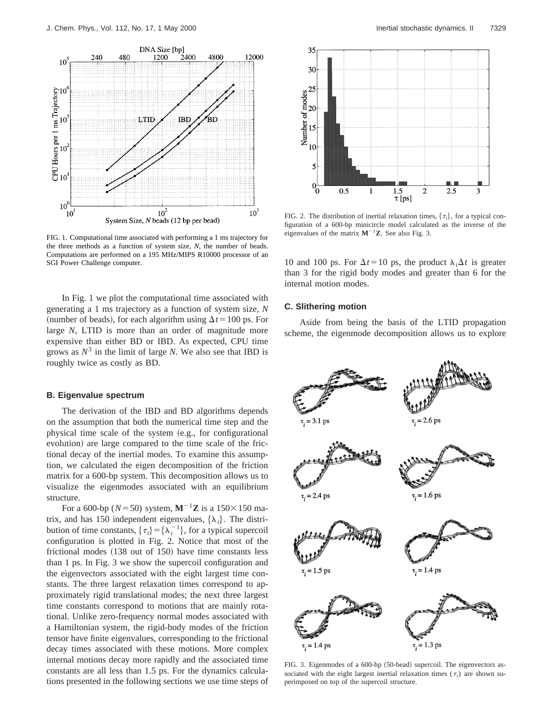

FIG. 1. Computational time associated with performing a 1 ms trajectory for the three methods as a function of system size, *N*, the number of beads. Computations are performed on a 195 MHz/MIPS R10000 processor of an SGI Power Challenge computer.

In Fig. 1 we plot the computational time associated with generating a 1 ms trajectory as a function of system size, *N* (number of beads), for each algorithm using  $\Delta t$  = 100 ps. For large *N*, LTID is more than an order of magnitude more expensive than either BD or IBD. As expected, CPU time grows as  $N^3$  in the limit of large *N*. We also see that IBD is roughly twice as costly as BD.

#### **B. Eigenvalue spectrum**

The derivation of the IBD and BD algorithms depends on the assumption that both the numerical time step and the physical time scale of the system (e.g., for configurational evolution) are large compared to the time scale of the frictional decay of the inertial modes. To examine this assumption, we calculated the eigen decomposition of the friction matrix for a 600-bp system. This decomposition allows us to visualize the eigenmodes associated with an equilibrium structure.

For a 600-bp ( $N = 50$ ) system,  $M^{-1}Z$  is a 150 $\times$ 150 matrix, and has 150 independent eigenvalues,  $\{\lambda_i\}$ . The distribution of time constants,  $\{\tau_i\} = {\lambda_i^{-1}}$ , for a typical supercoil configuration is plotted in Fig. 2. Notice that most of the frictional modes  $(138 \text{ out of } 150)$  have time constants less than 1 ps. In Fig. 3 we show the supercoil configuration and the eigenvectors associated with the eight largest time constants. The three largest relaxation times correspond to approximately rigid translational modes; the next three largest time constants correspond to motions that are mainly rotational. Unlike zero-frequency normal modes associated with a Hamiltonian system, the rigid-body modes of the friction tensor have finite eigenvalues, corresponding to the frictional decay times associated with these motions. More complex internal motions decay more rapidly and the associated time constants are all less than 1.5 ps. For the dynamics calculations presented in the following sections we use time steps of



FIG. 2. The distribution of inertial relaxation times,  $\{\tau_i\}$ , for a typical configuration of a 600-bp minicircle model calculated as the inverse of the eigenvalues of the matrix  $M^{-1}Z$ . See also Fig. 3.

10 and 100 ps. For  $\Delta t = 10$  ps, the product  $\lambda_i \Delta t$  is greater than 3 for the rigid body modes and greater than 6 for the internal motion modes.

# **C. Slithering motion**

Aside from being the basis of the LTID propagation scheme, the eigenmode decomposition allows us to explore



FIG. 3. Eigenmodes of a 600-bp (50-bead) supercoil. The eigenvectors associated with the eight largest inertial relaxation times  $(\tau_i)$  are shown superimposed on top of the supercoil structure.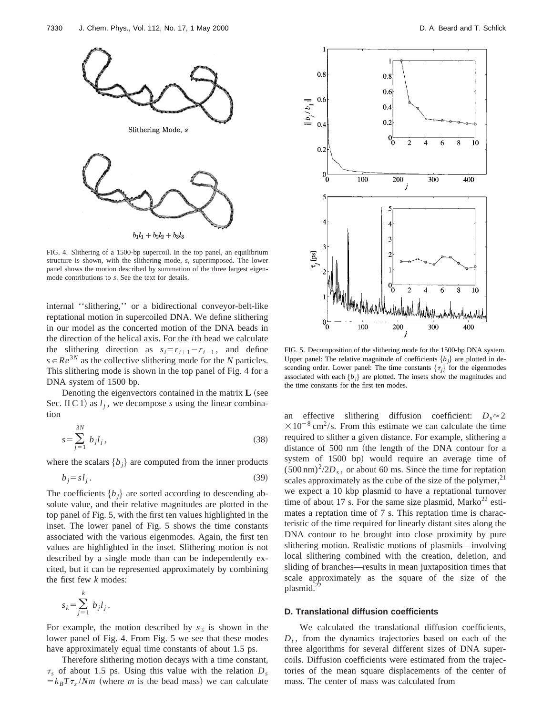

FIG. 4. Slithering of a 1500-bp supercoil. In the top panel, an equilibrium structure is shown, with the slithering mode, *s*, superimposed. The lower panel shows the motion described by summation of the three largest eigenmode contributions to *s*. See the text for details.

internal ''slithering,'' or a bidirectional conveyor-belt-like reptational motion in supercoiled DNA. We define slithering in our model as the concerted motion of the DNA beads in the direction of the helical axis. For the *i*th bead we calculate the slithering direction as  $s_i = r_{i+1} - r_{i-1}$ , and define  $s \in Re^{3N}$  as the collective slithering mode for the *N* particles. This slithering mode is shown in the top panel of Fig. 4 for a DNA system of 1500 bp.

Denoting the eigenvectors contained in the matrix **L** (see Sec. II C 1) as  $l_i$ , we decompose *s* using the linear combination

$$
s = \sum_{j=1}^{3N} b_j l_j,
$$
 (38)

where the scalars  ${b_i}$  are computed from the inner products

$$
b_j = s l_j. \tag{39}
$$

The coefficients  ${b_i}$  are sorted according to descending absolute value, and their relative magnitudes are plotted in the top panel of Fig. 5, with the first ten values highlighted in the inset. The lower panel of Fig. 5 shows the time constants associated with the various eigenmodes. Again, the first ten values are highlighted in the inset. Slithering motion is not described by a single mode than can be independently excited, but it can be represented approximately by combining the first few *k* modes:

$$
s_k = \sum_{j=1}^k b_j l_j.
$$

For example, the motion described by  $s_3$  is shown in the lower panel of Fig. 4. From Fig. 5 we see that these modes have approximately equal time constants of about 1.5 ps.

Therefore slithering motion decays with a time constant,  $\tau_s$  of about 1.5 ps. Using this value with the relation  $D_s$  $= k_B T \tau_s / Nm$  (where *m* is the bead mass) we can calculate



FIG. 5. Decomposition of the slithering mode for the 1500-bp DNA system. Upper panel: The relative magnitude of coefficients  ${b_i}$  are plotted in descending order. Lower panel: The time constants  $\{\tau_i\}$  for the eigenmodes associated with each  ${b_i}$  are plotted. The insets show the magnitudes and the time constants for the first ten modes.

an effective slithering diffusion coefficient:  $D_s \approx 2$  $\times 10^{-8}$  cm<sup>2</sup>/s. From this estimate we can calculate the time required to slither a given distance. For example, slithering a distance of  $500$  nm (the length of the DNA contour for a system of 1500 bp) would require an average time of  $(500 \text{ nm})^2/2D_s$ , or about 60 ms. Since the time for reptation scales approximately as the cube of the size of the polymer, $^{21}$ we expect a 10 kbp plasmid to have a reptational turnover time of about 17 s. For the same size plasmid,  $Marko<sup>22</sup>$  estimates a reptation time of 7 s. This reptation time is characteristic of the time required for linearly distant sites along the DNA contour to be brought into close proximity by pure slithering motion. Realistic motions of plasmids—involving local slithering combined with the creation, deletion, and sliding of branches—results in mean juxtaposition times that scale approximately as the square of the size of the plasmid.<sup>22</sup>

## **D. Translational diffusion coefficients**

We calculated the translational diffusion coefficients,  $D_t$ , from the dynamics trajectories based on each of the three algorithms for several different sizes of DNA supercoils. Diffusion coefficients were estimated from the trajectories of the mean square displacements of the center of mass. The center of mass was calculated from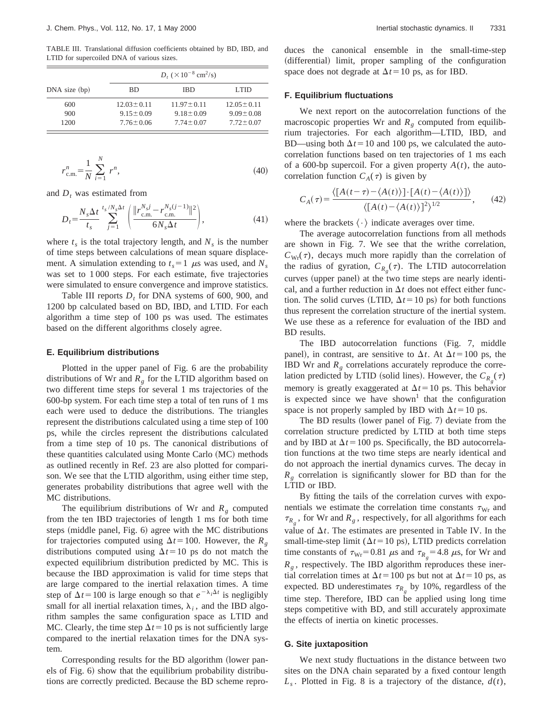TABLE III. Translational diffusion coefficients obtained by BD, IBD, and LTID for supercoiled DNA of various sizes.

|               |                  | $D_{t}$ ( $\times 10^{-8}$ cm <sup>2</sup> /s) |                  |  |  |
|---------------|------------------|------------------------------------------------|------------------|--|--|
| DNA size (bp) | ВD               | IBD                                            | LTID.            |  |  |
| 600           | $12.03 \pm 0.11$ | $11.97 \pm 0.11$                               | $12.05 \pm 0.11$ |  |  |
| 900           | $9.15 \pm 0.09$  | $9.18 \pm 0.09$                                | $9.09 \pm 0.08$  |  |  |
| 1200          | $7.76 \pm 0.06$  | $7.74 \pm 0.07$                                | $7.72 \pm 0.07$  |  |  |

$$
r_{\text{c.m.}}^n = \frac{1}{N} \sum_{i=1}^N r^n,\tag{40}
$$

and  $D_t$  was estimated from

$$
D_{t} = \frac{N_{s} \Delta t}{t_{s}} \sum_{j=1}^{t_{s}/N_{s} \Delta t} \left( \frac{\|r_{\text{c.m.}}^{N_{s}j} - r_{\text{c.m.}}^{N_{s}(j-1)}\|^{2}}{6N_{s} \Delta t} \right),\tag{41}
$$

where  $t_s$  is the total trajectory length, and  $N_s$  is the number of time steps between calculations of mean square displacement. A simulation extending to  $t_s = 1$   $\mu$ s was used, and  $N_s$ was set to 1 000 steps. For each estimate, five trajectories were simulated to ensure convergence and improve statistics.

Table III reports  $D_t$  for DNA systems of 600, 900, and 1200 bp calculated based on BD, IBD, and LTID. For each algorithm a time step of 100 ps was used. The estimates based on the different algorithms closely agree.

# **E. Equilibrium distributions**

Plotted in the upper panel of Fig. 6 are the probability distributions of Wr and  $R_g$  for the LTID algorithm based on two different time steps for several 1 ms trajectories of the 600-bp system. For each time step a total of ten runs of 1 ms each were used to deduce the distributions. The triangles represent the distributions calculated using a time step of 100 ps, while the circles represent the distributions calculated from a time step of 10 ps. The canonical distributions of these quantities calculated using Monte Carlo (MC) methods as outlined recently in Ref. 23 are also plotted for comparison. We see that the LTID algorithm, using either time step, generates probability distributions that agree well with the MC distributions.

The equilibrium distributions of Wr and  $R_g$  computed from the ten IBD trajectories of length 1 ms for both time steps (middle panel, Fig. 6) agree with the MC distributions for trajectories computed using  $\Delta t$ =100. However, the  $R_g$ distributions computed using  $\Delta t=10$  ps do not match the expected equilibrium distribution predicted by MC. This is because the IBD approximation is valid for time steps that are large compared to the inertial relaxation times. A time step of  $\Delta t$ =100 is large enough so that  $e^{-\lambda_i \Delta t}$  is negligibly small for all inertial relaxation times,  $\lambda_i$ , and the IBD algorithm samples the same configuration space as LTID and MC. Clearly, the time step  $\Delta t$ =10 ps is not sufficiently large compared to the inertial relaxation times for the DNA system.

Corresponding results for the BD algorithm (lower panels of Fig.  $6$ ) show that the equilibrium probability distributions are correctly predicted. Because the BD scheme reproduces the canonical ensemble in the small-time-step (differential) limit, proper sampling of the configuration space does not degrade at  $\Delta t$ =10 ps, as for IBD.

### **F. Equilibrium fluctuations**

We next report on the autocorrelation functions of the macroscopic properties Wr and  $R_g$  computed from equilibrium trajectories. For each algorithm—LTID, IBD, and BD—using both  $\Delta t$ =10 and 100 ps, we calculated the autocorrelation functions based on ten trajectories of 1 ms each of a 600-bp supercoil. For a given property  $A(t)$ , the autocorrelation function  $C_A(\tau)$  is given by

$$
C_A(\tau) = \frac{\langle [A(t-\tau) - \langle A(t) \rangle] \cdot [A(t) - \langle A(t) \rangle] \rangle}{\langle [A(t) - \langle A(t) \rangle] \rangle^{1/2}},\qquad(42)
$$

where the brackets  $\langle \cdot \rangle$  indicate averages over time.

The average autocorrelation functions from all methods are shown in Fig. 7. We see that the writhe correlation,  $C_{\text{Wr}}(\tau)$ , decays much more rapidly than the correlation of the radius of gyration,  $C_{R_g}(\tau)$ . The LTID autocorrelation curves (upper panel) at the two time steps are nearly identical, and a further reduction in  $\Delta t$  does not effect either function. The solid curves (LTID,  $\Delta t$ =10 ps) for both functions thus represent the correlation structure of the inertial system. We use these as a reference for evaluation of the IBD and BD results.

The IBD autocorrelation functions (Fig. 7, middle panel), in contrast, are sensitive to  $\Delta t$ . At  $\Delta t$ =100 ps, the IBD Wr and  $R_g$  correlations accurately reproduce the correlation predicted by LTID (solid lines). However, the  $C_{R_g}(\tau)$ memory is greatly exaggerated at  $\Delta t$ =10 ps. This behavior is expected since we have shown<sup>1</sup> that the configuration space is not properly sampled by IBD with  $\Delta t$ =10 ps.

The BD results (lower panel of Fig. 7) deviate from the correlation structure predicted by LTID at both time steps and by IBD at  $\Delta t$ =100 ps. Specifically, the BD autocorrelation functions at the two time steps are nearly identical and do not approach the inertial dynamics curves. The decay in  $R_g$  correlation is significantly slower for BD than for the LTID or IBD.

By fitting the tails of the correlation curves with exponentials we estimate the correlation time constants  $\tau_{\rm Wr}$  and  $\tau_{R_g}$ , for Wr and  $R_g$ , respectively, for all algorithms for each value of  $\Delta t$ . The estimates are presented in Table IV. In the small-time-step limit ( $\Delta t$ =10 ps), LTID predicts correlation time constants of  $\tau_{\text{Wr}}=0.81 \mu s$  and  $\tau_{R_g}=4.8 \mu s$ , for Wr and  $R_g$ , respectively. The IBD algorithm reproduces these inertial correlation times at  $\Delta t$ =100 ps but not at  $\Delta t$ =10 ps, as expected. BD underestimates  $\tau_{R_a}$  by 10%, regardless of the time step. Therefore, IBD can be applied using long time steps competitive with BD, and still accurately approximate the effects of inertia on kinetic processes.

## **G. Site juxtaposition**

We next study fluctuations in the distance between two sites on the DNA chain separated by a fixed contour length  $L_s$ . Plotted in Fig. 8 is a trajectory of the distance,  $d(t)$ ,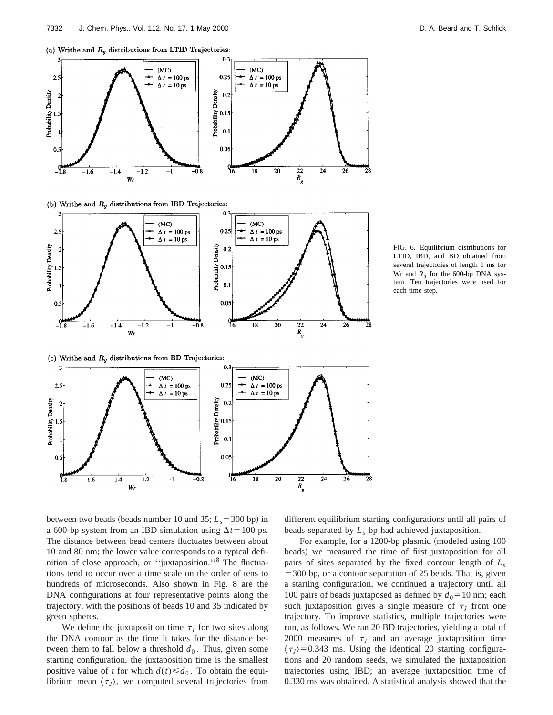(a) Writhe and  $R_g$  distributions from LTID Trajectories:



FIG. 6. Equilibrium distributions for LTID, IBD, and BD obtained from several trajectories of length 1 ms for Wr and  $R_g$  for the 600-bp DNA system. Ten trajectories were used for each time step.

between two beads (beads number 10 and 35;  $L_s = 300$  bp) in a 600-bp system from an IBD simulation using  $\Delta t$ =100 ps. The distance between bead centers fluctuates between about 10 and 80 nm; the lower value corresponds to a typical definition of close approach, or ''juxtaposition.''8 The fluctuations tend to occur over a time scale on the order of tens to hundreds of microseconds. Also shown in Fig. 8 are the DNA configurations at four representative points along the trajectory, with the positions of beads 10 and 35 indicated by green spheres.

We define the juxtaposition time  $\tau_I$  for two sites along the DNA contour as the time it takes for the distance between them to fall below a threshold  $d_0$ . Thus, given some starting configuration, the juxtaposition time is the smallest positive value of *t* for which  $d(t) \le d_0$ . To obtain the equilibrium mean  $\langle \tau_I \rangle$ , we computed several trajectories from different equilibrium starting configurations until all pairs of beads separated by  $L<sub>s</sub>$  bp had achieved juxtaposition.

For example, for a 1200-bp plasmid (modeled using 100 beads) we measured the time of first juxtaposition for all pairs of sites separated by the fixed contour length of  $L<sub>s</sub>$  $=$  300 bp, or a contour separation of 25 beads. That is, given a starting configuration, we continued a trajectory until all 100 pairs of beads juxtaposed as defined by  $d_0 = 10$  nm; each such juxtaposition gives a single measure of  $\tau$ <sub>*J*</sub> from one trajectory. To improve statistics, multiple trajectories were run, as follows. We ran 20 BD trajectories, yielding a total of 2000 measures of  $\tau_J$  and an average juxtaposition time  $\langle \tau_I \rangle$ =0.343 ms. Using the identical 20 starting configurations and 20 random seeds, we simulated the juxtaposition trajectories using IBD; an average juxtaposition time of 0.330 ms was obtained. A statistical analysis showed that the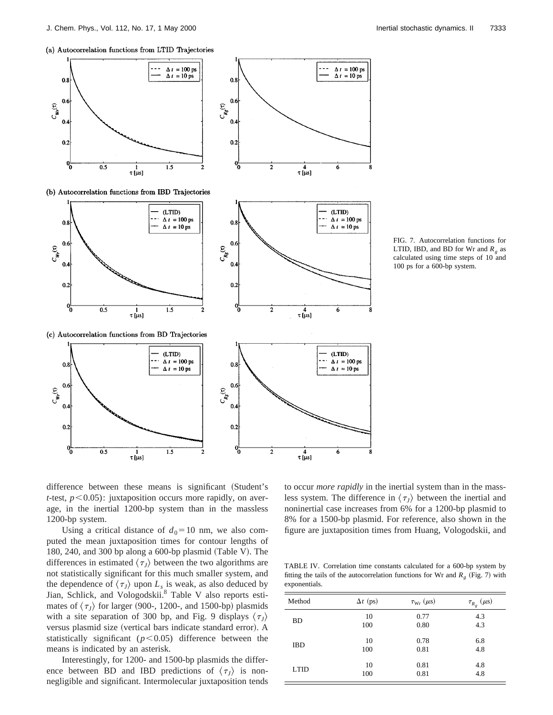$C_{\mathbf{w}}(\mathbf{t})$ 

 $c_{\mathbf{w}}^{(\mathbf{r})}$ 

 $C_{\psi,\mathbf{C}}$ 

 $0.4$ 

 $0.2$ 

 $^{0}$ 

 $\overline{0.5}$ 





 $\Omega$ 

 $0.2$ 

 $^{0}$ <sub>0</sub>

 $\overline{2}$ 

 $\frac{4}{\tau [\mu s]}$ 

6

8

FIG. 7. Autocorrelation functions for LTID, IBD, and BD for Wr and  $R_g$  as calculated using time steps of 10 and 100 ps for a 600-bp system.

difference between these means is significant (Student's *t*-test,  $p$ <0.05): juxtaposition occurs more rapidly, on average, in the inertial 1200-bp system than in the massless 1200-bp system.

 $\tau$ [µs]

 $\overline{1.5}$ 

Using a critical distance of  $d_0=10$  nm, we also computed the mean juxtaposition times for contour lengths of 180, 240, and 300 bp along a  $600$ -bp plasmid (Table V). The differences in estimated  $\langle \tau_I \rangle$  between the two algorithms are not statistically significant for this much smaller system, and the dependence of  $\langle \tau_J \rangle$  upon  $L_s$  is weak, as also deduced by Jian, Schlick, and Vologodskii.<sup>8</sup> Table V also reports estimates of  $\langle \tau_J \rangle$  for larger (900-, 1200-, and 1500-bp) plasmids with a site separation of 300 bp, and Fig. 9 displays  $\langle \tau_I \rangle$ versus plasmid size (vertical bars indicate standard error). A statistically significant  $(p<0.05)$  difference between the means is indicated by an asterisk.

Interestingly, for 1200- and 1500-bp plasmids the difference between BD and IBD predictions of  $\langle \tau_J \rangle$  is nonnegligible and significant. Intermolecular juxtaposition tends to occur *more rapidly* in the inertial system than in the massless system. The difference in  $\langle \tau_l \rangle$  between the inertial and noninertial case increases from 6% for a 1200-bp plasmid to 8% for a 1500-bp plasmid. For reference, also shown in the figure are juxtaposition times from Huang, Vologodskii, and

TABLE IV. Correlation time constants calculated for a 600-bp system by fitting the tails of the autocorrelation functions for Wr and  $R_g$  (Fig. 7) with exponentials.

| Method      | $\Delta t$ (ps) | $\tau_{\rm Wr}$ ( $\mu$ s) | $\tau_{R_{g}}\left(\mu s\right)$ |
|-------------|-----------------|----------------------------|----------------------------------|
| BD          | 10              | 0.77                       | 4.3                              |
|             | 100             | 0.80                       | 4.3                              |
| <b>IBD</b>  | 10              | 0.78                       | 6.8                              |
|             | 100             | 0.81                       | 4.8                              |
| <b>LTID</b> | 10              | 0.81                       | 4.8                              |
|             | 100             | 0.81                       | 4.8                              |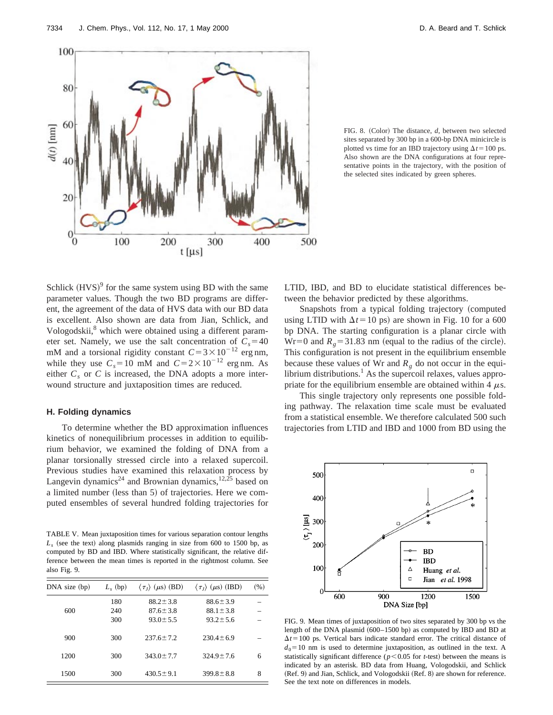

FIG. 8. (Color) The distance, *d*, between two selected sites separated by 300 bp in a 600-bp DNA minicircle is plotted vs time for an IBD trajectory using  $\Delta t$ =100 ps. Also shown are the DNA configurations at four representative points in the trajectory, with the position of the selected sites indicated by green spheres.

Schlick  $(HVS)^9$  for the same system using BD with the same parameter values. Though the two BD programs are different, the agreement of the data of HVS data with our BD data is excellent. Also shown are data from Jian, Schlick, and Vologodskii,<sup>8</sup> which were obtained using a different parameter set. Namely, we use the salt concentration of  $C_s = 40$ mM and a torsional rigidity constant  $C = 3 \times 10^{-12}$  erg nm, while they use  $C_s$ =10 mM and  $C=2\times10^{-12}$  erg nm. As either  $C_s$  or  $C$  is increased, the DNA adopts a more interwound structure and juxtaposition times are reduced.

# **H. Folding dynamics**

To determine whether the BD approximation influences kinetics of nonequilibrium processes in addition to equilibrium behavior, we examined the folding of DNA from a planar torsionally stressed circle into a relaxed supercoil. Previous studies have examined this relaxation process by Langevin dynamics<sup>24</sup> and Brownian dynamics,<sup>12,25</sup> based on a limited number (less than 5) of trajectories. Here we computed ensembles of several hundred folding trajectories for

TABLE V. Mean juxtaposition times for various separation contour lengths  $L<sub>s</sub>$  (see the text) along plasmids ranging in size from 600 to 1500 bp, as computed by BD and IBD. Where statistically significant, the relative difference between the mean times is reported in the rightmost column. See also Fig. 9.

| DNA size (bp) | $L_{\rm c}$ (bp) | $\langle \tau_I \rangle$ ( $\mu$ s) (BD) | $\langle \tau_I \rangle$ ( $\mu$ s) (IBD) | (% ) |
|---------------|------------------|------------------------------------------|-------------------------------------------|------|
|               | 180              | $88.2 \pm 3.8$                           | $88.6 \pm 3.9$                            |      |
| 600           | 240              | $87.6 \pm 3.8$                           | $88.1 \pm 3.8$                            |      |
|               | 300              | $93.0 \pm 5.5$                           | $93.2 \pm 5.6$                            |      |
| 900           | 300              | $237.6 \pm 7.2$                          | $230.4 \pm 6.9$                           |      |
| 1200          | 300              | $343.0 \pm 7.7$                          | $324.9 \pm 7.6$                           | 6    |
| 1500          | 300              | $430.5 \pm 9.1$                          | $399.8 \pm 8.8$                           | 8    |

LTID, IBD, and BD to elucidate statistical differences between the behavior predicted by these algorithms.

Snapshots from a typical folding trajectory (computed using LTID with  $\Delta t$ =10 ps) are shown in Fig. 10 for a 600 bp DNA. The starting configuration is a planar circle with Wr=0 and  $R_g$ =31.83 nm (equal to the radius of the circle). This configuration is not present in the equilibrium ensemble because these values of Wr and  $R_g$  do not occur in the equilibrium distributions.<sup>1</sup> As the supercoil relaxes, values appropriate for the equilibrium ensemble are obtained within 4  $\mu$ s.

This single trajectory only represents one possible folding pathway. The relaxation time scale must be evaluated from a statistical ensemble. We therefore calculated 500 such trajectories from LTID and IBD and 1000 from BD using the



FIG. 9. Mean times of juxtaposition of two sites separated by 300 bp vs the length of the DNA plasmid (600–1500 bp) as computed by IBD and BD at  $\Delta t$ =100 ps. Vertical bars indicate standard error. The critical distance of  $d_0=10$  nm is used to determine juxtaposition, as outlined in the text. A statistically significant difference ( $p$ <0.05 for *t*-test) between the means is indicated by an asterisk. BD data from Huang, Vologodskii, and Schlick (Ref. 9) and Jian, Schlick, and Vologodskii (Ref. 8) are shown for reference. See the text note on differences in models.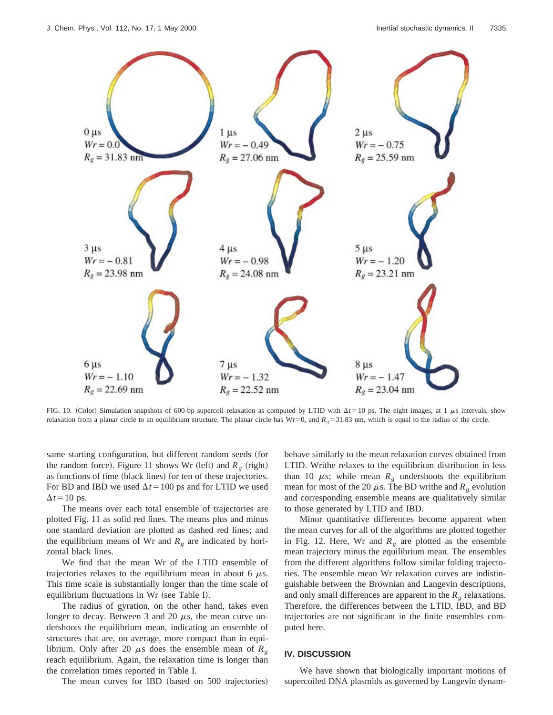

FIG. 10. (Color) Simulation snapshots of 600-bp supercoil relaxation as computed by LTID with  $\Delta t = 10$  ps. The eight images, at 1  $\mu$ s intervals, show relaxation from a planar circle to an equilibrium structure. The planar circle has  $Wr=0$ , and  $R<sub>g</sub>=31.83$  nm, which is equal to the radius of the circle.

same starting configuration, but different random seeds (for the random force). Figure 11 shows Wr (left) and  $R_g$  (right) as functions of time (black lines) for ten of these trajectories. For BD and IBD we used  $\Delta t$ =100 ps and for LTID we used  $\Delta t$ =10 ps.

The means over each total ensemble of trajectories are plotted Fig. 11 as solid red lines. The means plus and minus one standard deviation are plotted as dashed red lines; and the equilibrium means of Wr and  $R_g$  are indicated by horizontal black lines.

We find that the mean Wr of the LTID ensemble of trajectories relaxes to the equilibrium mean in about 6  $\mu$ s. This time scale is substantially longer than the time scale of equilibrium fluctuations in Wr (see Table I).

The radius of gyration, on the other hand, takes even longer to decay. Between 3 and 20  $\mu$ s, the mean curve undershoots the equilibrium mean, indicating an ensemble of structures that are, on average, more compact than in equilibrium. Only after 20  $\mu$ s does the ensemble mean of  $R_g$ reach equilibrium. Again, the relaxation time is longer than the correlation times reported in Table I.

The mean curves for IBD (based on 500 trajectories)

behave similarly to the mean relaxation curves obtained from LTID. Writhe relaxes to the equilibrium distribution in less than 10  $\mu$ s; while mean  $R_g$  undershoots the equilibrium mean for most of the 20  $\mu$ s. The BD writhe and  $R_g$  evolution and corresponding ensemble means are qualitatively similar to those generated by LTID and IBD.

Minor quantitative differences become apparent when the mean curves for all of the algorithms are plotted together in Fig. 12. Here, Wr and  $R_g$  are plotted as the ensemble mean trajectory minus the equilibrium mean. The ensembles from the different algorithms follow similar folding trajectories. The ensemble mean Wr relaxation curves are indistinguishable between the Brownian and Langevin descriptions, and only small differences are apparent in the  $R<sub>g</sub>$  relaxations. Therefore, the differences between the LTID, IBD, and BD trajectories are not significant in the finite ensembles computed here.

# **IV. DISCUSSION**

We have shown that biologically important motions of supercoiled DNA plasmids as governed by Langevin dynam-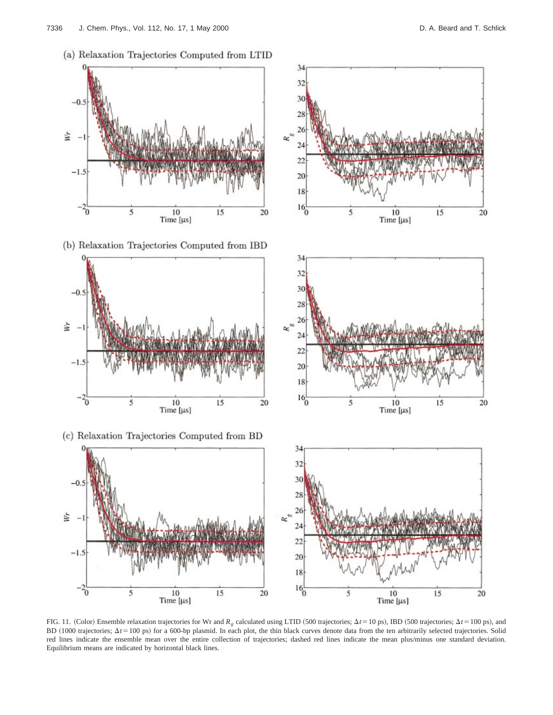

(a) Relaxation Trajectories Computed from LTID

FIG. 11. (Color) Ensemble relaxation trajectories for Wr and  $R_g$  calculated using LTID (500 trajectories;  $\Delta t = 10$  ps), IBD (500 trajectories;  $\Delta t = 100$  ps), and BD  $(1000 \text{ trajectories}; \Delta t = 100 \text{ ps})$  for a 600-bp plasmid. In each plot, the thin black curves denote data from the ten arbitrarily selected trajectories. Solid red lines indicate the ensemble mean over the entire collection of trajectories; dashed red lines indicate the mean plus/minus one standard deviation. Equilibrium means are indicated by horizontal black lines.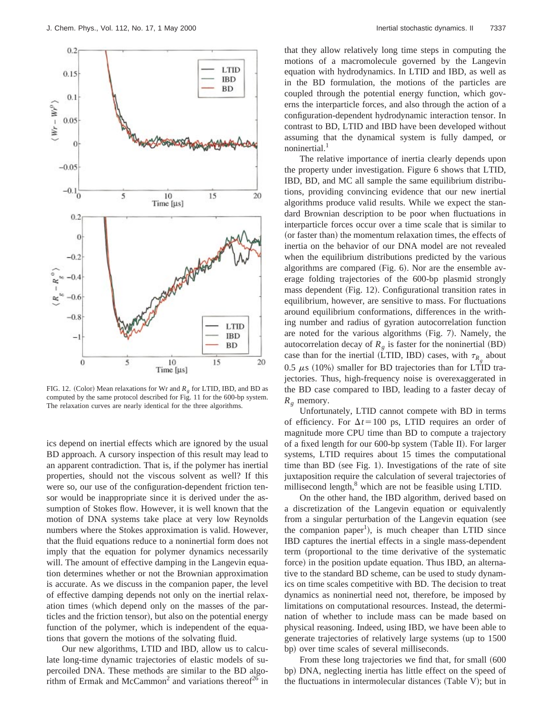

FIG. 12. (Color) Mean relaxations for Wr and  $R_g$  for LTID, IBD, and BD as computed by the same protocol described for Fig. 11 for the 600-bp system. The relaxation curves are nearly identical for the three algorithms.

ics depend on inertial effects which are ignored by the usual BD approach. A cursory inspection of this result may lead to an apparent contradiction. That is, if the polymer has inertial properties, should not the viscous solvent as well? If this were so, our use of the configuration-dependent friction tensor would be inappropriate since it is derived under the assumption of Stokes flow. However, it is well known that the motion of DNA systems take place at very low Reynolds numbers where the Stokes approximation is valid. However, that the fluid equations reduce to a noninertial form does not imply that the equation for polymer dynamics necessarily will. The amount of effective damping in the Langevin equation determines whether or not the Brownian approximation is accurate. As we discuss in the companion paper, the level of effective damping depends not only on the inertial relaxation times (which depend only on the masses of the particles and the friction tensor), but also on the potential energy function of the polymer, which is independent of the equations that govern the motions of the solvating fluid.

Our new algorithms, LTID and IBD, allow us to calculate long-time dynamic trajectories of elastic models of supercoiled DNA. These methods are similar to the BD algorithm of Ermak and McCammon<sup>2</sup> and variations thereof<sup>26</sup> in that they allow relatively long time steps in computing the motions of a macromolecule governed by the Langevin equation with hydrodynamics. In LTID and IBD, as well as in the BD formulation, the motions of the particles are coupled through the potential energy function, which governs the interparticle forces, and also through the action of a configuration-dependent hydrodynamic interaction tensor. In contrast to BD, LTID and IBD have been developed without assuming that the dynamical system is fully damped, or noninertial.<sup>1</sup>

The relative importance of inertia clearly depends upon the property under investigation. Figure 6 shows that LTID, IBD, BD, and MC all sample the same equilibrium distributions, providing convincing evidence that our new inertial algorithms produce valid results. While we expect the standard Brownian description to be poor when fluctuations in interparticle forces occur over a time scale that is similar to (or faster than) the momentum relaxation times, the effects of inertia on the behavior of our DNA model are not revealed when the equilibrium distributions predicted by the various algorithms are compared  $(Fig. 6)$ . Nor are the ensemble average folding trajectories of the 600-bp plasmid strongly mass dependent (Fig. 12). Configurational transition rates in equilibrium, however, are sensitive to mass. For fluctuations around equilibrium conformations, differences in the writhing number and radius of gyration autocorrelation function are noted for the various algorithms  $(Fig. 7)$ . Namely, the autocorrelation decay of  $R<sub>g</sub>$  is faster for the noninertial (BD) case than for the inertial (LTID, IBD) cases, with  $\tau_{R_a}$  about 0.5  $\mu$ s (10%) smaller for BD trajectories than for LTID trajectories. Thus, high-frequency noise is overexaggerated in the BD case compared to IBD, leading to a faster decay of  $R_g$  memory.

Unfortunately, LTID cannot compete with BD in terms of efficiency. For  $\Delta t$ =100 ps, LTID requires an order of magnitude more CPU time than BD to compute a trajectory of a fixed length for our 600-bp system (Table II). For larger systems, LTID requires about 15 times the computational time than BD (see Fig. 1). Investigations of the rate of site juxtaposition require the calculation of several trajectories of millisecond length,<sup>8</sup> which are not be feasible using LTID.

On the other hand, the IBD algorithm, derived based on a discretization of the Langevin equation or equivalently from a singular perturbation of the Langevin equation (see the companion paper<sup>1</sup>), is much cheaper than LTID since IBD captures the inertial effects in a single mass-dependent term (proportional to the time derivative of the systematic force) in the position update equation. Thus IBD, an alternative to the standard BD scheme, can be used to study dynamics on time scales competitive with BD. The decision to treat dynamics as noninertial need not, therefore, be imposed by limitations on computational resources. Instead, the determination of whether to include mass can be made based on physical reasoning. Indeed, using IBD, we have been able to generate trajectories of relatively large systems (up to 1500) bp) over time scales of several milliseconds.

From these long trajectories we find that, for small  $(600$ bp) DNA, neglecting inertia has little effect on the speed of the fluctuations in intermolecular distances (Table V); but in